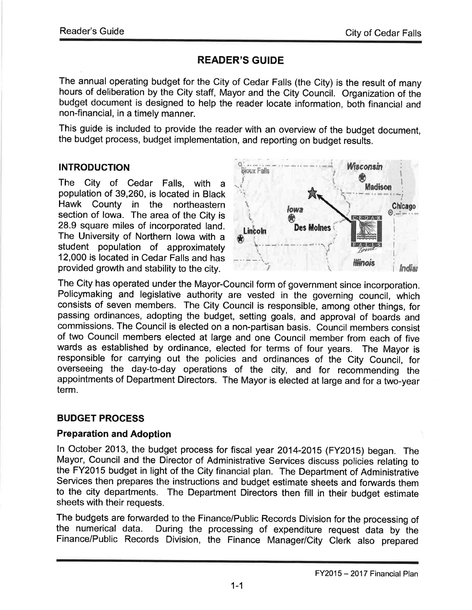# READER'S GUIDE

The annual operating budget for the City of Cedar Falls (the City) is the result of many hours of deliberation by the City staff, Mayor and the City Council. Organization of the budget document is designed to help the reader locate information, both financial and non-financial, in a timely manner.

This guide is included to provide the reader with an overview of the budget document, the budget process, budget implementation, and reporting on budget results.

# INTRODUCTION

The City of Cedar Falls, with <sup>a</sup> population of 39,260, is located in Black Hawk County in the northeastern section of lowa. The area of the City is 28.9 square miles of incorporated land. The University of Northern lowa with a student population of approximately 12,000 is located ín Cedar Falls and has provided growth and stability to the city.



The City has operated under the Mayor-Council form of government since incorporation. Policymaking and legislative authority are vested in the governing council, which consists of seven members. The City Council is responsíble, among other things, for passing ordinances, adopting the budget, setting goals, and approval of boards and commissions. The Council is elected on a non-partisan basis. Council members consist of two Council members elected at large and one Council member from each of five wards as established by ordinance, elected for terms of four years. The Mayor is responsible for carrying out the policies and ordinances of the City Council, for overseeing the day-to-day operations of the city, and for recommending the appointments of Department Directors. The Mayor is elected at large and for a two-year term.

# BUDGET PROCESS

## Preparation and Adoption

ln October 2013, the budget process for fiscal year 2014-2015 (FY2O1S) began. The Mayor, Council and the Director of Administrative Services discuss policies relating to the FY2015 budget in light of the City financial plan. The Department of Administrative Services then prepares the instructions and budget estimate sheets and forwards them to the city departments. The Department Directors then fill in their budget estimate sheets with their requests.

The budgets are forwarded to the Finance/Public Records Division for the processing of the numerical data. During the processing of expenditure request data by the During the processing of expenditure request data by the Finance/Public Records Division, the Finance Manager/City Clerk also prepared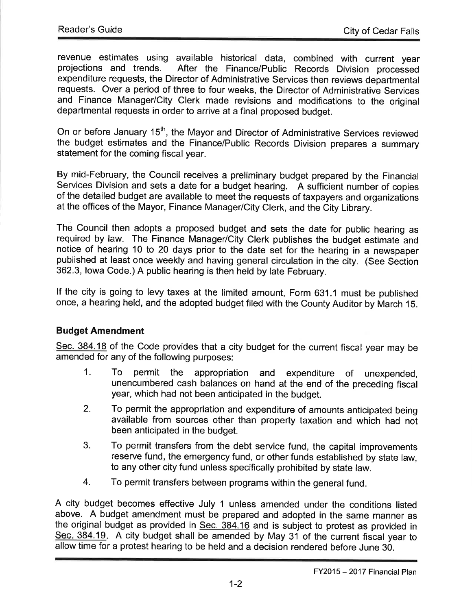revenue estimates using available historical data, combined with current year After the Finance/Public Records Division processed expenditure requests, the Director of Administrative Services then reviews departmental requests. Over a period of three to four weeks, the Director of Administrative Services and Finance Manager/City Clerk made revisions and modifications to the original departmental requests in order to arrive at a final proposed budget.

On or before January 15<sup>th</sup>, the Mayor and Director of Administrative Services reviewed the budget estimates and the Finance/Public Records Division prepares a summary statement for the coming físcal year.

By mid-February, the Council receives a preliminary budget prepared by the Financial Services Division and sets a date for a budget hearing. A sufficient number of copies of the detailed budget are available to meet the requests of taxpayers and organizations at the offices of the Mayor, Finance Manager/City Clerk, and the City Library.

The Council then adopts a proposed budget and sets the date for public hearing as required by law. The Finance Manager/City Clerk publishes the budget estimate and notice of hearing 10 to 20 days prior to the date set for the hearing in a newspaper published at least once weekly and having general circulation in the city. (See Section 362.3, lowa Code.) A public hearing is then held by late February.

lf the city is going to levy taxes at the limited amount, Form 631.1 must be published once, a hearing held, and the adopted budget filed with the County Auditor by March 1S.

# Budget Amendment

Sec. 384.18 of the Code provides that a city budget for the current fiscal year may be amended for any of the following purposes:

- 1. To permit the appropriation and expenditure of unexpended, unencumbered cash balances on hand at the end of the preceding fiscal year, which had not been anticipated in the budget.
- 2. To permit the appropriation and expenditure of amounts anticipated being available from sources other than property taxation and which had not been anticipated in the budget.
- 3. To permit transfers from the debt service fund, the capital improvements reserve fund, the emergency fund, or other funds established by state law, to any other city fund unless specifically prohibited by state law.
- 4. To permit transfers between programs within the general fund.

A city budget becomes effective July 1 unless amended under the conditions listed above. A budget amendment must be prepared and adopted in the same manner as the original budget as provided in  $Sec. 384.16$  and is subject to protest as provided in Sec. 384.19. A city budget shall be amended by May 31 of the current fiscal year to allow time for a protest hearing to be held and a decision rendered before June 30.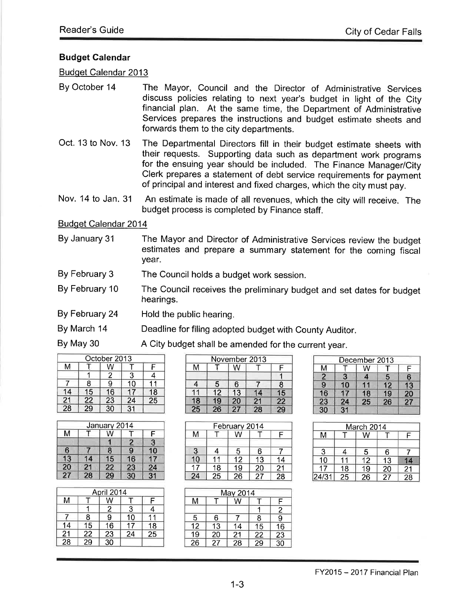#### Budget Galendar

Budqet Calendar 2013

- By October 14 The Mayor, Council and the Director of Administrative Services discuss policies relating to next year's budget in light of the city financial plan. At the same time, the Department of Administrative Services prepares the instructions and budget estimate sheets and forwards them to the city departments.
- Oct. 13 to Nov. 13 The Departmental Directors fill in their budget estimate sheets with their requests. Supporting data such as department work programs for the ensuing year should be included. The Finance Manager/City clerk prepares a statement of debt service requirements for payment of principal and interest and fixed charges, which the city must pay.

Nov. 14 to Jan. 31 An estimate is made of all revenues, which the city will receive. The budget process is completed by Finance staff.

Budqet Calendar 2014

- By January 31 The Mayor and Director of Administrative Services review the budget estimates and prepare a summary statement for the coming fiscal year.
- By February 3 The Council holds a budget work session.
- By February 10 The Council receives the preliminary budget and set dates for budget hearings.
- By February 24 Hold the public hearing.
- By March 14 Deadline for filing adopted budget with county Auditor.

By May 30 A City budget shall be amended for the current year.

|                 |                 | October 2013 |    |                |
|-----------------|-----------------|--------------|----|----------------|
| м               |                 | W            |    | F              |
|                 |                 |              | 3  |                |
|                 | 8               | 9            | 10 |                |
| 14              | 15              | 16           | 17 | 18             |
| $\frac{21}{28}$ | $\frac{22}{29}$ | 23           | 24 | $\frac{1}{25}$ |
|                 |                 | 30           | 31 |                |

|                 |                 | January 2014    |                 |                 |
|-----------------|-----------------|-----------------|-----------------|-----------------|
| M               |                 | W               |                 |                 |
|                 |                 |                 |                 | 3               |
| 6               |                 | 8               | 9               | 10              |
| $\overline{13}$ | 14              | 15              | 16              | 17              |
| $\overline{20}$ | $\frac{21}{28}$ |                 | $\frac{23}{30}$ | $\frac{24}{31}$ |
| 27              |                 | $\frac{22}{29}$ |                 |                 |

|                      |                 | April 2014      |    |                 |
|----------------------|-----------------|-----------------|----|-----------------|
| M                    |                 | W               |    | Е               |
|                      |                 | $\overline{2}$  | 3  | 4               |
|                      | 8               | $\bar{9}$       | 10 |                 |
| 14                   | 15              | $\overline{16}$ | 17 | 18              |
| $\frac{1}{21}$<br>28 | $\frac{22}{29}$ | 23              | 24 | $\overline{25}$ |
|                      |                 | $\overline{30}$ |    |                 |

|                 |                 |    | November 2013   |                 |
|-----------------|-----------------|----|-----------------|-----------------|
| м               |                 | W  |                 | F               |
|                 |                 |    |                 |                 |
| 4               | 5               | 6  |                 | 8               |
|                 | 12              | 13 | 14              | 15              |
| 18              | $\overline{19}$ | 20 |                 |                 |
| $\overline{25}$ | $\overline{26}$ | 27 | $\frac{21}{28}$ | $\frac{22}{29}$ |

|    |    | February 2014 |    |    |
|----|----|---------------|----|----|
| М  |    |               |    | F  |
| 3  |    | 5             | 6  |    |
| 10 |    | 12            | 13 | 14 |
| 17 | 18 | 19            | 20 | 21 |
| 24 | 25 | 26            | 27 | 28 |

|                |                 | December 2013 |    |    |
|----------------|-----------------|---------------|----|----|
| M              |                 | w             |    |    |
| $\overline{2}$ | 3               | 4             | 5  | 6  |
| $\overline{9}$ | 10              |               | 12 | 13 |
| 16             | 17              | 18            | 19 | 20 |
| 23             | 24              | 25            | 26 | 27 |
| 30             | $\overline{31}$ |               |    |    |

|       |    | March 2014 |    |                 |
|-------|----|------------|----|-----------------|
| м     |    |            |    | E               |
|       |    |            |    |                 |
| 3     |    | 5          | 6  |                 |
| 10    |    | 12         | 13 | 14              |
| 17    | 18 | 19         | 20 |                 |
| 24/31 | 25 | 26         | 27 | $\frac{21}{28}$ |

|                 |    | May 2014 |                 |                |
|-----------------|----|----------|-----------------|----------------|
| M               |    | W        |                 | F              |
|                 |    |          |                 | $\overline{2}$ |
| 5               | 6  |          | 8               | 9              |
| $\overline{12}$ | 13 | 14       | 15              | 16             |
| $\overline{19}$ | 20 | 21       | 22              | 23             |
| $\frac{1}{26}$  | 27 | 28       | $\overline{29}$ | 30             |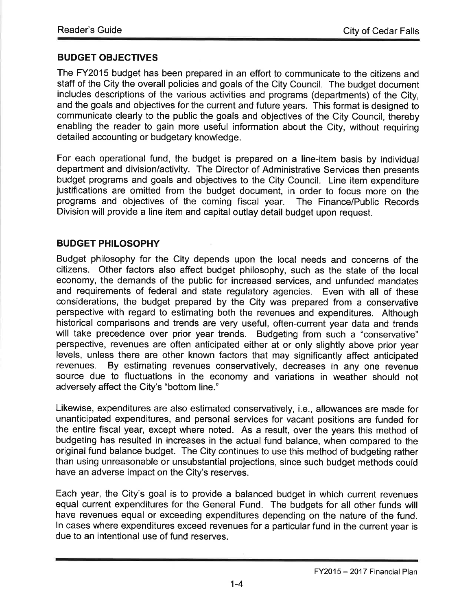## BUDGET OBJECTIVES

The FY2015 budget has been prepared in an effort to communicate to the citizens and staff of the City the overall policies and goals of the City Council. The budget document includes descriptions of the various activities and programs (departments) of the City, and the goals and objectives for the current and future years. This format is designed to communicate clearly to the public the goals and objectives of the City Council, thereby enabling the reader to gain more useful information about the City, without requiring detailed accounting or budgetary knowledge.

For each operational fund, the budget is prepared on a line-item basís by individual department and division/activity. The Director of Administrative Services then presents budget programs and goals and objectives to the City Council. Line item expenditure justifications are omitted from the budget document, in order to focus more on the programs and objectives of the coming fiscal year. The Finance/Public Records Division will provide a line item and capital outlay detail budget upon request.

## BUDGET PHILOSOPHY

Budget philosophy for the City depends upon the local needs and concerns of the citizens. Other factors also affect budget philosophy, such as the state of the local economy, the demands of the public for increased services, and unfunded mandates and requirements of federal and state regulatory agencies. Even with all of these considerations, the budget prepared by the Cíty was prepared from a conservative perspective with regard to estimating both the revenues and expenditures. Although historical comparisons and trends are very useful, often-current year data and trends will take precedence over prior year trends. Budgeting from such a "conservative" perspective, revenues are often anticipated either at or only slightly above prior year levels, unless there are other known factors that may significantly affect anticipated By estimating revenues conservatively, decreases in any one revenue source due to fluctuations in the economy and variations in weather should not adversely affect the City's "bottom line."

Likewise, expenditures are also estimated conservatively, i.e., allowances are made for unanticipated expenditures, and personal services for vacant positions are funded for the entire fiscal year, except where noted. As a result, over the years this method of budgeting has resulted in increases in the actual fund balance, when compared to the original fund balance budget. The City continues to use this method of budgeting rather than using unreasonable or unsubstantial projections, since such budget methods could have an adverse impact on the City's reserves.

Each year, the City's goal is to provide a balanced budget in which current revenues equal current expenditures for the General Fund. The budgets for all other funds will have revenues equal or exceeding expenditures depending on the nature of the fund. In cases where expenditures exceed revenues for a particular fund in the current year is due to an intentional use of fund reserves.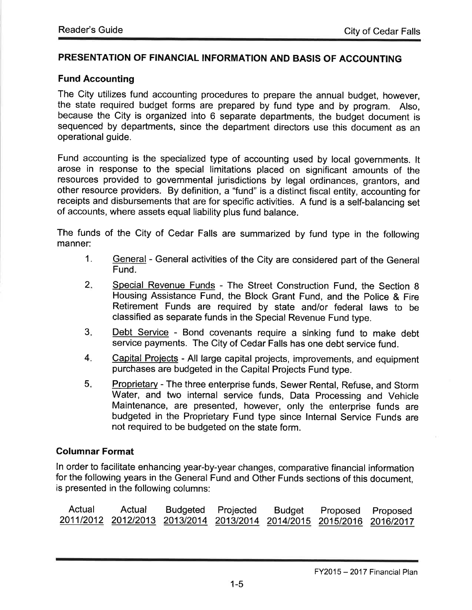#### PRESENTATION OF FINANCIAL INFORMATION AND BASIS OF ACCOUNTING

#### Fund Accounting

The City utilizes fund accounting procedures to prepare the annual budget, however, the state required budget forms are prepared by fund type and by program. Also, because the City is organized into 6 separate departments, the budget document is sequenced by departments, since the department directors use this document as an operational guide.

Fund accounting is the specialized type of accounting used by local governments. lt arose in response to the special limitations placed on significant amounts of the resources provided to governmental jurisdictions by legal ordinances, grantors, and other resource providers. By definition, a "fund" is a distinct fiscal entity, accounting for receipts and disbursements that are for specific activities. A fund is a self-balancing set of accounts, where assets equal liability plus fund balance.

The funds of the City of Cedar Falls are summarized by fund type in the following manner:

- 1. General General activities of the City are considered part of the General Fund.
- Special Revenue Funds The Street Construction Fund, the Section 8 Housing Assistance Fund, the Block Grant Fund, and the Police & Fire Retirement Funds are required by state and/or federal laws to be classified as separate funds in the Special Revenue Fund type.  $2.$
- Debt Service Bond covenants require a sinking fund to make debt service payments. The City of Cedar Falls has one debt service fund.  $3<sub>i</sub>$
- capital Proiects All large capital projects, improvements, and equipment purchases are budgeted in the Capital Projects Fund type.  $4.$
- Proprietary The three enterprise funds, Sewer Rental, Refuse, and Storm Water, and two internal service funds, Data Processing and Vehicle Maintenance, are presented, however, only the enterprise funds are budgeted in the Proprietary Fund type since lnternal Service Funds are not required to be budgeted on the state form.  $5.$

#### Columnar Format

ln order to facilitate enhancing year-by-year changes, comparative financial information for the following years in the General Fund and Other Funds sections of this document, is presented in the following columns:

| Actual | Actual                                                                |  | Budgeted Projected Budget Proposed Proposed |  |
|--------|-----------------------------------------------------------------------|--|---------------------------------------------|--|
|        | 2011/2012 2012/2013 2013/2014 2013/2014 2014/2015 2015/2016 2016/2017 |  |                                             |  |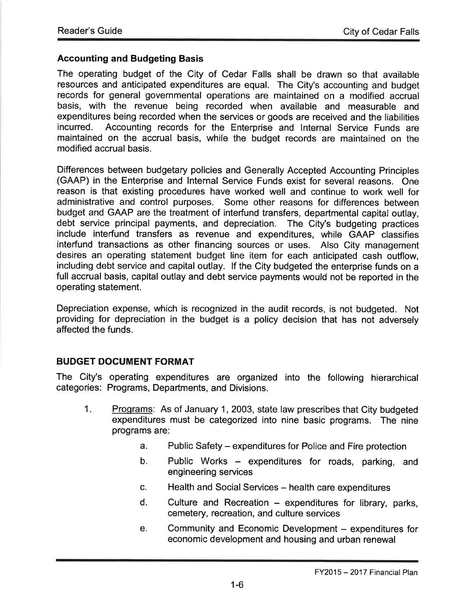## Accounting and Budgeting Basis

The operating budget of the City of Cedar Falls shall be drawn so that available resources and anticipated expenditures are equal. The City's accounting and budget records for general governmental operations are maintained on a modified accrual basis, with the revenue being recorded when available and measurable and expenditures being recorded when the services or goods are received and the liabilities<br>incurred. Accounting records for the Enterprise and Internal Service Funds are Accounting records for the Enterprise and Internal Service Funds are maintained on the accrual basis, while the budget records are maintained on the modified accrual basis.

Differences between budgetary policies and Generally Accepted Accounting Principles (GAAP) in the Enterprise and lnternal Service Funds exist for several reasons. One reason is that existing procedures have worked well and continue to work well for administrative and control purposes. Some other reasons for differences between budget and GAAP are the treatment of interfund transfers, departmental capital outlay, debt service principal payments, and depreciation. The City's budgeting practices include interfund transfers as revenue and expenditures, while GAAP classifies interfund transactions as other financing sources or uses. Also City management desires an operating statement budget line item for each anticipated cash outflow, including debt service and capital outlay. lf the City budgeted the enterprise funds on a full accrual basis, capital outlay and debt service payments would not be reported in the operating statement.

Depreciation expense, which is recognized in the audit records, is not budgeted. Not providing for depreciation in the budget is a policy decision that has not adversely affected the funds.

## BUDGET DOCUMENT FORMAT

The City's operating expenditures are organized into the following hierarchical categories: Programs, Departments, and Divisions.

- Proqrams: As of January 1,2003, state law prescribes that City budgeted expenditures must be categorized into nine basic programs. The nine programs are:  $1<sub>i</sub>$ 
	- a. Public Safety expenditures for Police and Fire protection
	- b. Public Works expenditures for roads, parking, and engineering services
	- c. Health and Social Services health care expenditures
	- $d.$  Culture and Recreation expenditures for library, parks, cemetery, recreation, and culture services
	- e. Community and Economic Development expenditures for economic development and housing and urban renewal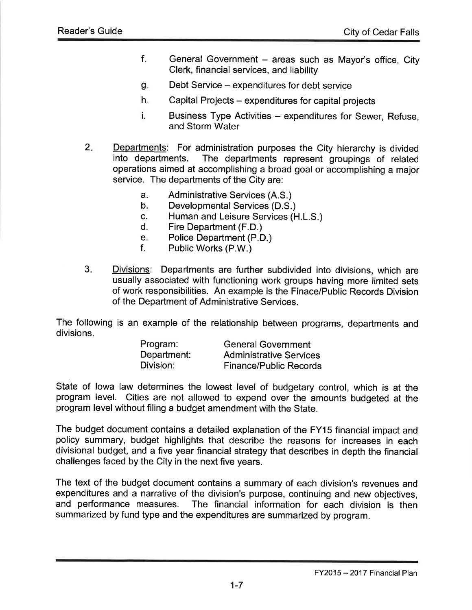- General Government  $-$  areas such as Mayor's office, City Clerk, financial services, and liability f
- Debt Service expenditures for debt service g.
- Capital Projects expenditures for capital projects  $h_{\rm in}$
- i. Business Type Activities – expenditures for Sewer, Refuse, and Storm Water
- Departments: For administration purposes the City hierarchy is divided<br>into departments. The departments represent groupings of related The departments represent groupings of related operations aimed at accomplishing a broad goal or accomplishing a major service. The departments of the City are:  $2.$ 
	- a. Administrative Services (A.S.) b. Developmental Services (D.S.)
	-
	- c. Human and Leisure Services (H.L.S.) d. Fire Department (F.D.)
	-
	- e. Police Department (P.D.)<br>f. Public Works (P.W.)
	-
- Divisions: Departments are further subdivided into divisions, which are usually associated with functioning work groups having more limited sets of work responsibilities. An example is the Finace/Public Records Division of the Department of Administrative Services.  $3<sub>1</sub>$

The following is an example of the relationship between programs, departments and

| divisions. |             |                                |
|------------|-------------|--------------------------------|
|            | Program:    | <b>General Government</b>      |
|            | Department: | <b>Administrative Services</b> |
|            | Division:   | <b>Finance/Public Records</b>  |

State of lowa law determines the lowest level of budgetary control, which is at the program level. Cities are not allowed to expend over the amounts budgeted at the program level without filing a budget amendment with the State.

The budget document contains a detailed explanation of the FY15 financial impact and policy summary, budget highlights that describe the reasons for increases in each divisional budget, and a five year financial strategy that describes in depth the financial challenges faced by the City in the next five years.

The text of the budget document contains a summary of each division's revenues and expenditures and a narrative of the division's purpose, continuing and new objectives, and performance measures. The financial information for each division is then The financial information for each division is then summarized by fund type and the expenditures are summarized by program.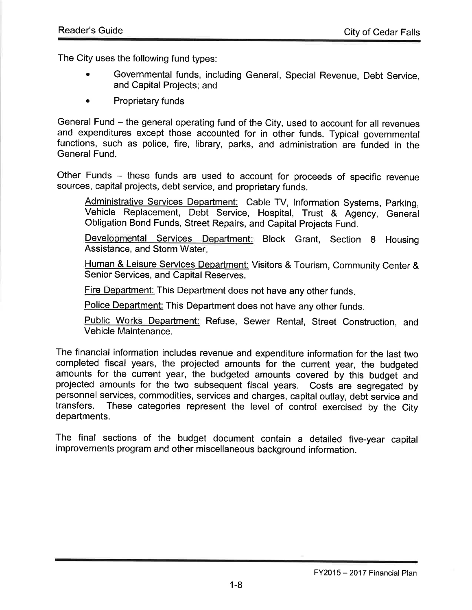The City uses the following fund types:

- . Governmental funds, including General, Special Revenue, Debt Service, and Capital Projects; and
- Proprietary funds

General Fund – the general operating fund of the City, used to account for all revenues and expenditures except those accounted for in other funds. Typicat governmental functions, such as police, fire, library, parks, and administration are funded in the General Fund.

Other Funds - these funds are used to account for proceeds of specific revenue sources, capital projects, debt service, and proprietary funds.

Administrative Services Department: Cable TV, Information Systems, Parking, Vehicle Replacement, Debt service, Hospital, Trust & Agency, General Obligation Bond Funds, Street Repairs, and Capital Projects Fund.

Developmental Services Department: Block Grant, Section 8 Housing Assistance, and Storm Water

Human & Leisure Services Department: Visitors & Tourism, Community Center & Senior Services, and Capital Reserves.

Fire Department: This Department does not have any other funds.

Police Department: This Department does not have any other funds.

Public Works Department: Refuse, Sewer Rental, Street Construction, and Vehicle Maintenance.

The financial information includes revenue and expenditure information for the last two completed fiscal years, the projected amounts for the current year, the budgeted amounts for the current year, the budgeted amounts covered by this budget and projected amounts for the two subsequent fiscal years. Costs are segregated by personnel services, commodities, services and charges, capital outlay, debt service and<br>transfers. These categories represent the level of control exercised by the City These categories represent the level of control exercised by the City departments.

The final sections of the budget document contain a detailed five-year capital improvements program and other miscellaneous background information.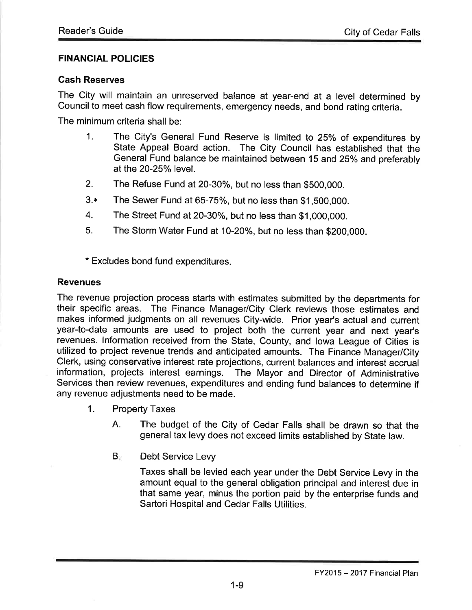## FINANCIAL POLICIES

#### Cash Reserves

The City will maintain an unreserved balance at year-end at a level determined by Council to meet cash flow requirements, emergency needs, and bond rating criteria.

The minimum criteria shall be:

- 1. The City's General Fund Reserve is limited to 25% of expenditures by State Appeal Board action. The City Council has established that the General Fund balance be maintained between 15 and 25% and preferably at the 20-25% level.
- 2. The Refuse Fund at 20-30%, but no less than \$500,000.
- $3.*$  The Sewer Fund at 65-75%, but no less than \$1,500,000.
- 4. The Street Fund at 20-30%, but no less than \$1,000,000.
- 5. The Storm Water Fund at 10-20%, but no less than \$200,000.

\* Excludes bond fund expenditures.

#### Revenues

The revenue projection process starts with estimates submitted by the departments for their specific areas. The Finance Manager/City Clerk reviews those estimates and makes informed judgments on all revenues City-wide. Prior year's actual and current year-to-date amounts are used to project both the current year and next year's revenues. lnformation received from the State, County, and lowa League of Cities is utilized to project revenue trends and anticipated amounts. The Finance Manager/City Clerk, using conservative interest rate projections, current balances and interest accrual information, projects interest earnings. The Mayor and Director of Administrative Services then review revenues, expenditures and ending fund balances to determine if any revenue adjustments need to be made.

- 1. Property Taxes
	- A. The budget of the City of Cedar Falls shall be drawn so that the general tax levy does not exceed limits established by State law.
	- Debt Service Levy  $B<sub>r</sub>$

Taxes shall be levied each year under the Debt Service Levy in the amount equal to the general obligation principal and interest due in that same year, minus the portion paid by the enterprise funds and Sartori Hospital and Cedar Falls Utilities.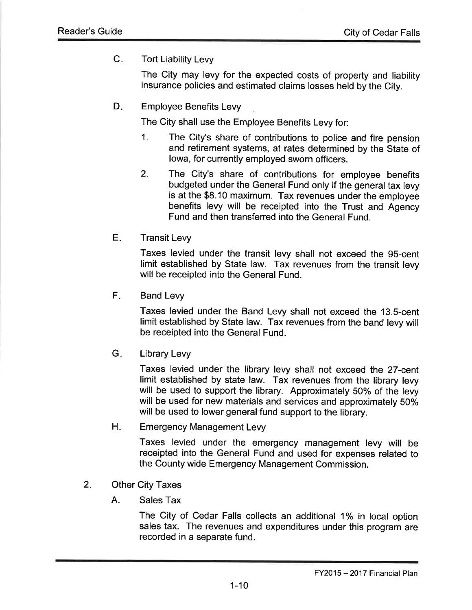C. Tort Liability Levy

The City may levy for the expected costs of property and liability insurance policies and estimated claims losses held by the City.

Employee Benefits Levy  $D_{\tau}$ 

The City shall use the Employee Benefits Levy for:

- 1. The City's share of contributions to police and fire pension and retirement systems, at rates determined by the State of lowa, for currently employed sworn officers.
- The City's share of contributions for employee benefits budgeted under the General Fund only if the general tax levy is at the \$8.10 maximum. Tax revenues under the employee benefits levy will be receipted into the Trust and Agency Fund and then transferred into the General Fund. 2
- Transit Levy E

Taxes levied under the transit levy shall not exceed the g5-cent limit established by State law. Tax revenues from the transit levy will be receipted into the General Fund.

Band Levy  $\mathsf{F}_\varepsilon$ 

> Taxes levied under the Band Levy shall not exceed the 13.S-cent limit established by State law. Tax revenues from the band levy will be receipted into the General Fund.

Library Levy  $G.$ 

> Taxes levied under the library levy shall not exceed the 27-cent limit established by state law. Tax revenues from the library levy will be used to support the library. Approximately 50% of the levy will be used for new materials and services and approximately 50% will be used to lower general fund support to the library.

Emergency Management Levy  $H_{\odot}$ 

> Taxes levied under the emergency management levy will be receipted into the General Fund and used for expenses related to the County wide Emergency Management Commission.

- Other City Taxes 2.
	- A. Sales Tax

The City of Cedar Falls collects an additional 1% in local option sales tax. The revenues and expenditures under this program are recorded in a separate fund.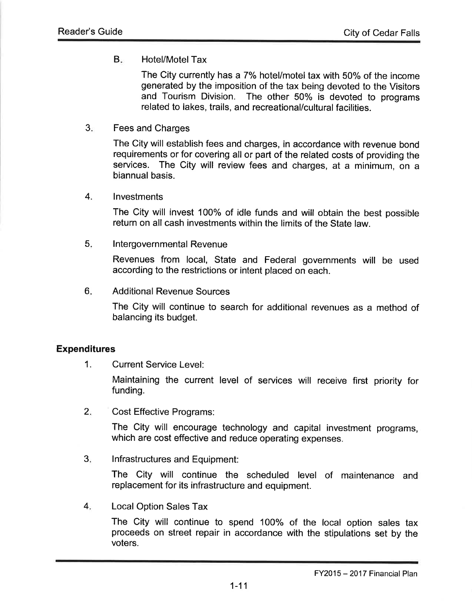## B<sub>x</sub> Hotel/Motel Tax

The City currently has a 7% hotel/motel tax with 50% of the income generated by the imposition of the tax being devoted to the Visitors and Tourism Division. The other 50% is devoted to programs related to lakes, trails, and recreational/cultural facilities.

Fees and Charges  $3<sub>1</sub>$ 

> The City will establish fees and charges, in accordance with revenue bond requirements or for covering all or part of the related costs of providing the services. The City will review fees and charges, at a minimum, on <sup>a</sup> biannual basis.

#### lnvestments 4.

The City will invest 100% of idle funds and will obtain the best possible return on all cash investments within the limits of the State law.

<sup>I</sup>ntergovernmental Revenue 5

> Revenues from local, state and Federal governments will be used according to the restrictions or intent placed on each.

Additional Revenue Sources 6

> The City will continue to search for additional revenues as a method of balancing its budget.

## Expenditures

1. Current Service Level:

Maintaining the current level of services will receive first priority for funding.

Cost Effective Programs:  $2.$ 

> The city will encourage technology and capital investment programs, which are cost effective and reduce operating expenses.

Infrastructures and Equipment:  $3<sub>1</sub>$ 

> The city will continue the scheduled level of maintenance and replacement for its infrastructure and equipment.

Local Option Sales Tax 4

> The City will continue to spend 1oo% of the local option sales tax proceeds on street repair in accordance with the stipulations set by the voters.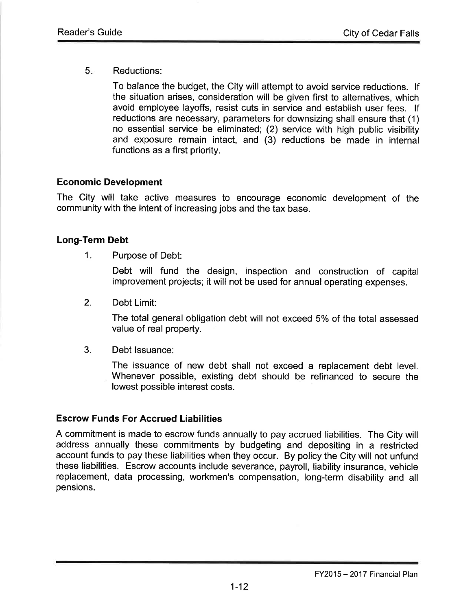Reductions: 5

> To balance the budget, the City will attempt to avoid service reductions. lf the situation arises, consideration will be given first to alternatives, which avoid employee layoffs, resist cuts in service and establish user fees. lf reductions are necessary, parameters for downsizing shall ensure that (1) no essential service be eliminated; (2) service with high public visibility and exposure remain intact, and (3) reductions be made in internal functions as a first priority.

## Economic Development

The City will take active measures to encourage economic development of the community with the intent of increasing jobs and the tax base.

## Long-Term Debt

1. Purpose of Debt:

Debt will fund the design, inspection and construction of capital improvement projects; it will not be used for annual operating expenses.

2. Debt Limit:

The total general obligation debt will not exceed 5% of the total assessed value of real property.

Debt Issuance: 3.

> The issuance of new debt shall not exceed a replacement debt level. Whenever possible, existing debt should be refinanced to secure the lowest possible interest costs.

# Escrow Funds For Accrued Liabilities

A commitment is made to escrow funds annually to pay accrued liabilities. The City will address annually these commitments by budgeting and depositing in a restricted account funds to pay these liabilities when they occur. By policy the City will not unfund these liabilities. Escrow accounts include severance, payroll, liability insurance, vehicle replacement, data processing, workmen's compensation, long-term disability and all pensions.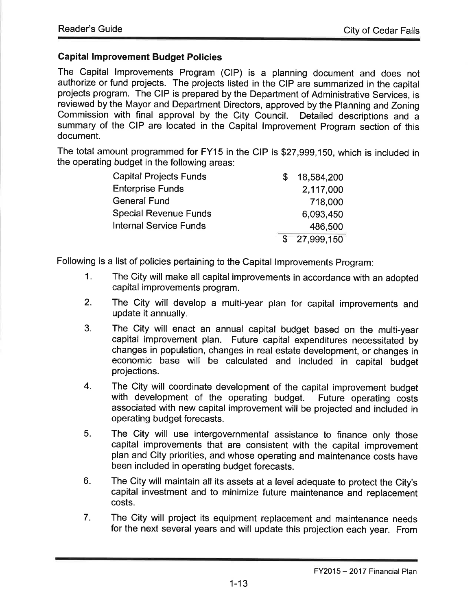## Gapital lmprovement Budget Policies

The Capital lmprovements Program (ClP) is a planning document and does not authorize or fund projects. The projects listed in the CIP are summarized in the capital projects program. The CIP is prepared by the Department of Administrative Services, is reviewed by the Mayor and Department Directors, approved by the Planning and Zoning<br>Commission with final approval by the City Council. Detailed descriptions and a Commission with final approval by the City Council. summary of the CIP are located in the Capital lmprovement Program section of this document.

The total amount programmed for FY15 in the CIP is \$27,999,150, which is included in the operating budget in the following areas:

| <b>Capital Projects Funds</b> | S | 18,584,200 |
|-------------------------------|---|------------|
| <b>Enterprise Funds</b>       |   | 2,117,000  |
| <b>General Fund</b>           |   | 718,000    |
| <b>Special Revenue Funds</b>  |   | 6,093,450  |
| <b>Internal Service Funds</b> |   | 486,500    |
|                               | S | 27,999,150 |

Following is a list of policies pertaining to the Capital lmprovements Program:

- 1. The City will make all capital improvements in accordance wíth an adopted capital improvements program.
- 2. The City will develop a multi-year plan for capital improvements and update it annually.
- 3. The City will enact an annual capital budget based on the multi-year capital improvement plan. Future capital expenditures necessitated by changes in population, changes in real estate development, or changes in economic base will be calculated and included in capital budget projections.
- 4. The City will coordinate development of the capital improvement budget with development of the operating budget. Future operating costs associated with new capital improvement will be projected and included in operating budget forecasts.
- 5. The City will use intergovernmental assistance to finance only those capital improvements that are consistent with the capital improvement plan and City priorities, and whose operating and maintenance costs have been included in operating budget forecasts.
- 6. The City will maintain all its assets at a level adequate to protect the City's capital investment and to minimize future maintenance and replacement costs.
- 7. The City will project its equipment replacement and maintenance needs for the next several years and will update this projection each year. From

FY2015 - 2017 Financial Plan